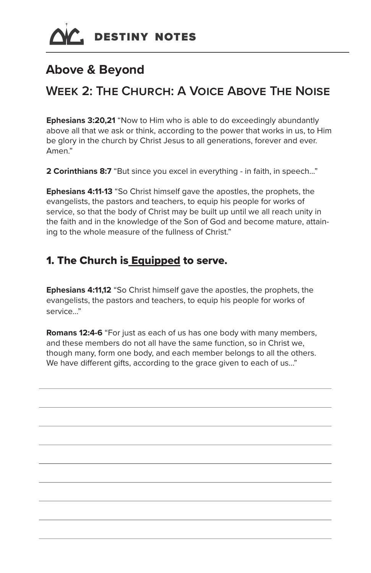# **Above & Beyond**

# **Week 2: The Church: A Voice Above The Noise**

**Ephesians 3:20,21** "Now to Him who is able to do exceedingly abundantly above all that we ask or think, according to the power that works in us, to Him be glory in the church by Christ Jesus to all generations, forever and ever. Amen."

**2 Corinthians 8:7** "But since you excel in everything - in faith, in speech..."

**Ephesians 4:11-13** "So Christ himself gave the apostles, the prophets, the evangelists, the pastors and teachers, to equip his people for works of service, so that the body of Christ may be built up until we all reach unity in the faith and in the knowledge of the Son of God and become mature, attaining to the whole measure of the fullness of Christ."

## 1. The Church is **Equipped to serve.**

**Ephesians 4:11,12** "So Christ himself gave the apostles, the prophets, the evangelists, the pastors and teachers, to equip his people for works of service..."

**Romans 12:4-6** "For just as each of us has one body with many members, and these members do not all have the same function, so in Christ we, though many, form one body, and each member belongs to all the others. We have different gifts, according to the grace given to each of us..."